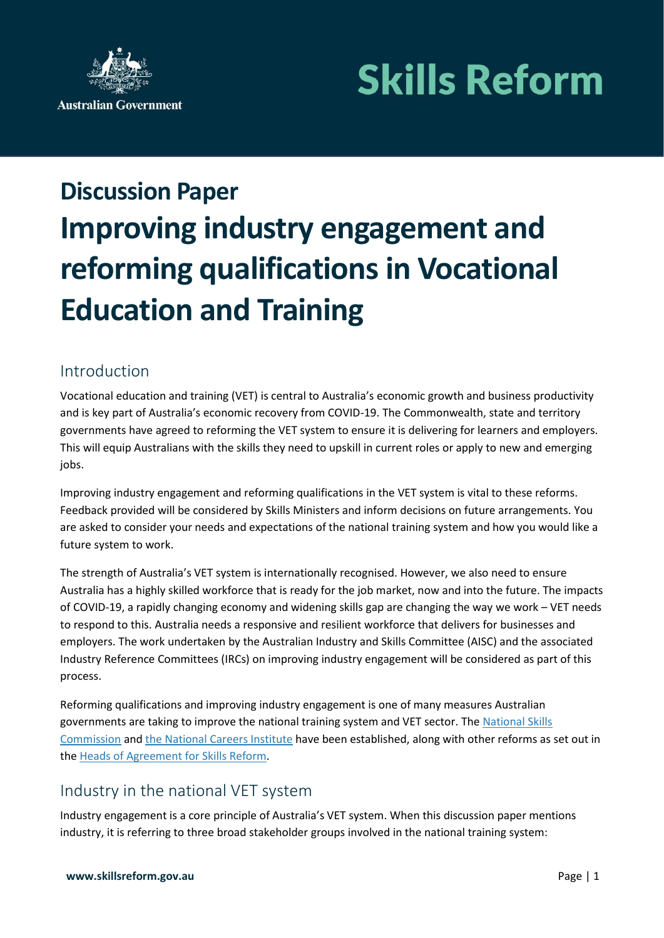# **Skills Reform**



## **Discussion Paper Improving industry engagement and reforming qualifications in Vocational Education and Training**

### Introduction

Vocational education and training (VET) is central to Australia's economic growth and business productivity and is key part of Australia's economic recovery from COVID-19. The Commonwealth, state and territory governments have agreed to reforming the VET system to ensure it is delivering for learners and employers. This will equip Australians with the skills they need to upskill in current roles or apply to new and emerging jobs.

Improving industry engagement and reforming qualifications in the VET system is vital to these reforms. Feedback provided will be considered by Skills Ministers and inform decisions on future arrangements. You are asked to consider your needs and expectations of the national training system and how you would like a future system to work.

The strength of Australia's VET system is internationally recognised. However, we also need to ensure Australia has a highly skilled workforce that is ready for the job market, now and into the future. The impacts of COVID-19, a rapidly changing economy and widening skills gap are changing the way we work – VET needs to respond to this. Australia needs a responsive and resilient workforce that delivers for businesses and employers. The work undertaken by the Australian Industry and Skills Committee (AISC) and the associated Industry Reference Committees (IRCs) on improving industry engagement will be considered as part of this process.

Reforming qualifications and improving industry engagement is one of many measures Australian governments are taking to improve the national training system and VET sector. The [National Skills](https://www.nationalskillscommission.gov.au/)  [Commission](https://www.nationalskillscommission.gov.au/) and [the National Careers Institute](https://nci.dese.gov.au/) have been established, along with other reforms as set out in the [Heads of Agreement for](https://www.pmc.gov.au/resource-centre/domestic-policy/heads-agreement-skills-reform) Skills Reform.

#### Industry in the national VET system

Industry engagement is a core principle of Australia's VET system. When this discussion paper mentions industry, it is referring to three broad stakeholder groups involved in the national training system: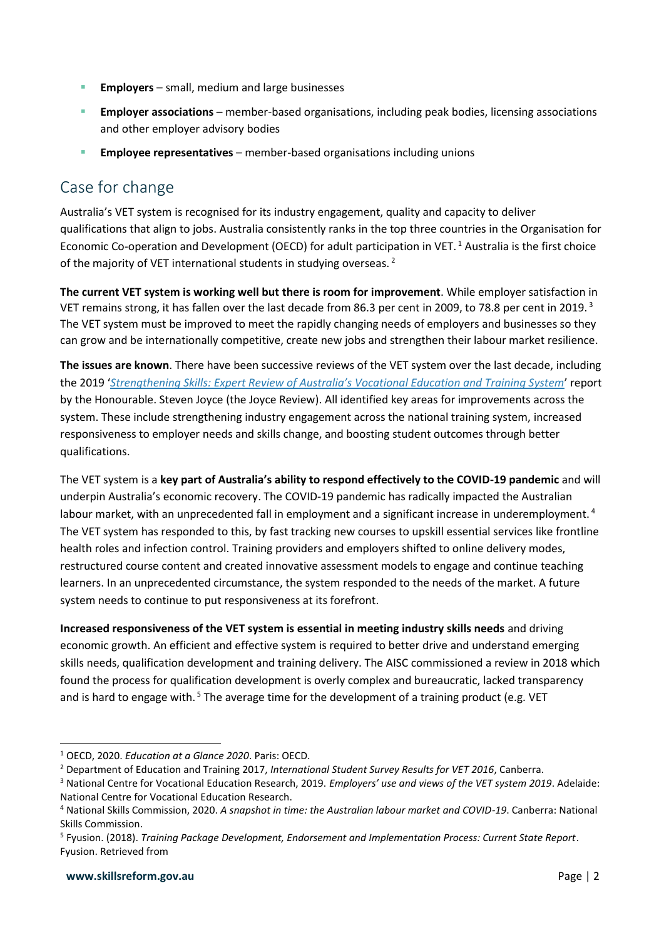- **Employers** small, medium and large businesses
- **Employer associations** member-based organisations, including peak bodies, licensing associations and other employer advisory bodies
- **Employee representatives** member-based organisations including unions

#### Case for change

Australia's VET system is recognised for its industry engagement, quality and capacity to deliver qualifications that align to jobs. Australia consistently ranks in the top three countries in the Organisation for Economic Co-operation and Development (OECD) for adult participation in VET. <sup>1</sup> Australia is the first choice of the majority of VET international students in studying overseas.<sup>2</sup>

**The current VET system is working well but there is room for improvement**. While employer satisfaction in VET remains strong, it has fallen over the last decade from 86.3 per cent in 2009, to 78.8 per cent in 2019.<sup>3</sup> The VET system must be improved to meet the rapidly changing needs of employers and businesses so they can grow and be internationally competitive, create new jobs and strengthen their labour market resilience.

**The issues are known**. There have been successive reviews of the VET system over the last decade, including the 2019 '*[Strengthening Skills: Expert Review of Australia's Vocational Education and Training System](https://www.pmc.gov.au/resource-centre/domestic-policy/vet-review/strengthening-skills-expert-review-australias-vocational-education-and-training-system)*' report by the Honourable. Steven Joyce (the Joyce Review). All identified key areas for improvements across the system. These include strengthening industry engagement across the national training system, increased responsiveness to employer needs and skills change, and boosting student outcomes through better qualifications.

The VET system is a **key part of Australia's ability to respond effectively to the COVID-19 pandemic** and will underpin Australia's economic recovery. The COVID-19 pandemic has radically impacted the Australian labour market, with an unprecedented fall in employment and a significant increase in underemployment.<sup>4</sup> The VET system has responded to this, by fast tracking new courses to upskill essential services like frontline health roles and infection control. Training providers and employers shifted to online delivery modes, restructured course content and created innovative assessment models to engage and continue teaching learners. In an unprecedented circumstance, the system responded to the needs of the market. A future system needs to continue to put responsiveness at its forefront.

**Increased responsiveness of the VET system is essential in meeting industry skills needs** and driving economic growth. An efficient and effective system is required to better drive and understand emerging skills needs, qualification development and training delivery. The AISC commissioned a review in 2018 which found the process for qualification development is overly complex and bureaucratic, lacked transparency and is hard to engage with.<sup>5</sup> The average time for the development of a training product (e.g. VET

1

<sup>1</sup> OECD, 2020. *Education at a Glance 2020*. Paris: OECD.

<sup>2</sup> Department of Education and Training 2017, *International Student Survey Results for VET 2016*, Canberra.

<sup>3</sup> National Centre for Vocational Education Research, 2019. *Employers' use and views of the VET system 2019*. Adelaide: National Centre for Vocational Education Research.

<sup>4</sup> National Skills Commission, 2020. *A snapshot in time: the Australian labour market and COVID-19*. Canberra: National Skills Commission.

<sup>5</sup> Fyusion. (2018). *Training Package Development, Endorsement and Implementation Process: Current State Report*. Fyusion. Retrieved from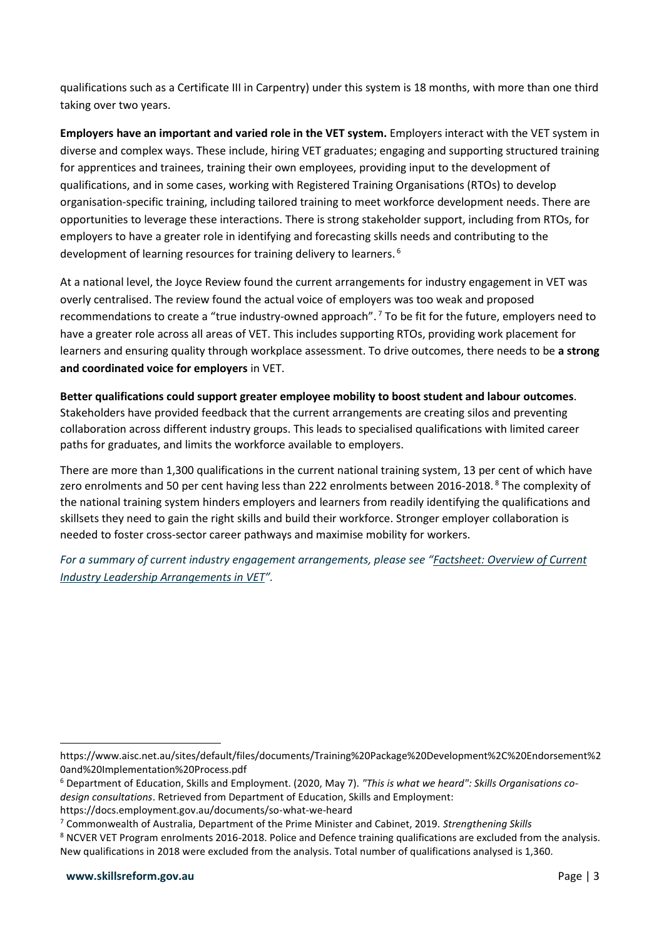qualifications such as a Certificate III in Carpentry) under this system is 18 months, with more than one third taking over two years.

**Employers have an important and varied role in the VET system.** Employers interact with the VET system in diverse and complex ways. These include, hiring VET graduates; engaging and supporting structured training for apprentices and trainees, training their own employees, providing input to the development of qualifications, and in some cases, working with Registered Training Organisations (RTOs) to develop organisation-specific training, including tailored training to meet workforce development needs. There are opportunities to leverage these interactions. There is strong stakeholder support, including from RTOs, for employers to have a greater role in identifying and forecasting skills needs and contributing to the development of learning resources for training delivery to learners. 6

At a national level, the Joyce Review found the current arrangements for industry engagement in VET was overly centralised. The review found the actual voice of employers was too weak and proposed recommendations to create a "true industry-owned approach".<sup>7</sup> To be fit for the future, employers need to have a greater role across all areas of VET. This includes supporting RTOs, providing work placement for learners and ensuring quality through workplace assessment. To drive outcomes, there needs to be **a strong and coordinated voice for employers** in VET.

**Better qualifications could support greater employee mobility to boost student and labour outcomes**. Stakeholders have provided feedback that the current arrangements are creating silos and preventing collaboration across different industry groups. This leads to specialised qualifications with limited career paths for graduates, and limits the workforce available to employers.

There are more than 1,300 qualifications in the current national training system, 13 per cent of which have zero enrolments and 50 per cent having less than 222 enrolments between 2016-2018. <sup>8</sup> The complexity of the national training system hinders employers and learners from readily identifying the qualifications and skillsets they need to gain the right skills and build their workforce. Stronger employer collaboration is needed to foster cross-sector career pathways and maximise mobility for workers.

*For a summary of current industry engagement arrangements, please see "Factsheet: Overview of Current Industry Leadership Arrangements in VET".*

1

https://www.aisc.net.au/sites/default/files/documents/Training%20Package%20Development%2C%20Endorsement%2 0and%20Implementation%20Process.pdf

<sup>6</sup> Department of Education, Skills and Employment. (2020, May 7). *"This is what we heard": Skills Organisations codesign consultations*. Retrieved from Department of Education, Skills and Employment:

https://docs.employment.gov.au/documents/so-what-we-heard

<sup>7</sup> Commonwealth of Australia, Department of the Prime Minister and Cabinet, 2019. *Strengthening Skills*

<sup>8</sup> NCVER VET Program enrolments 2016-2018. Police and Defence training qualifications are excluded from the analysis. New qualifications in 2018 were excluded from the analysis. Total number of qualifications analysed is 1,360.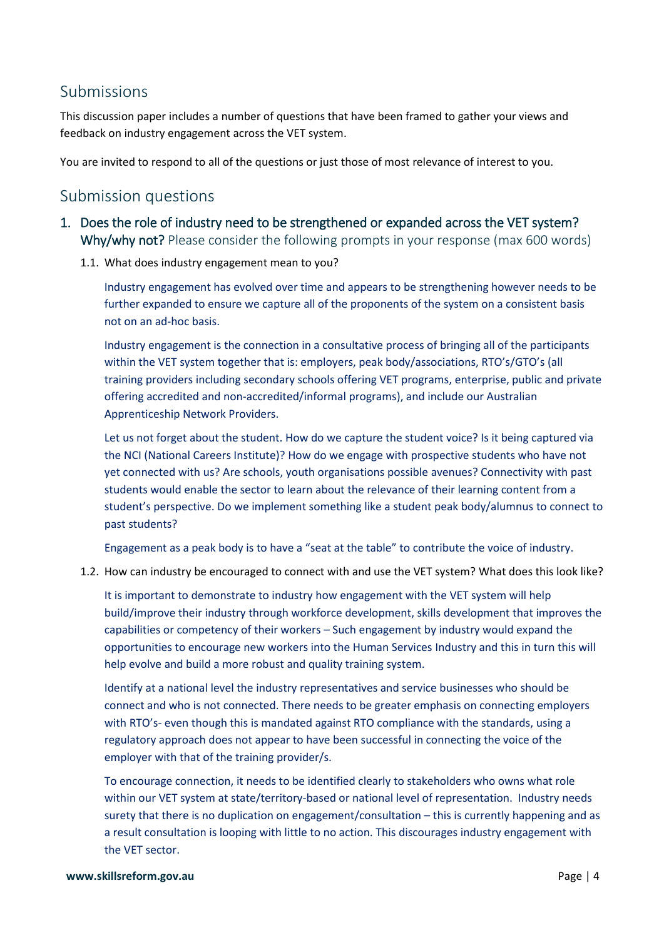#### Submissions

This discussion paper includes a number of questions that have been framed to gather your views and feedback on industry engagement across the VET system.

You are invited to respond to all of the questions or just those of most relevance of interest to you.

### Submission questions

- 1. Does the role of industry need to be strengthened or expanded across the VET system? Why/why not? Please consider the following prompts in your response (max 600 words)
	- 1.1. What does industry engagement mean to you?

Industry engagement has evolved over time and appears to be strengthening however needs to be further expanded to ensure we capture all of the proponents of the system on a consistent basis not on an ad-hoc basis.

Industry engagement is the connection in a consultative process of bringing all of the participants within the VET system together that is: employers, peak body/associations, RTO's/GTO's (all training providers including secondary schools offering VET programs, enterprise, public and private offering accredited and non-accredited/informal programs), and include our Australian Apprenticeship Network Providers.

Let us not forget about the student. How do we capture the student voice? Is it being captured via the NCI (National Careers Institute)? How do we engage with prospective students who have not yet connected with us? Are schools, youth organisations possible avenues? Connectivity with past students would enable the sector to learn about the relevance of their learning content from a student's perspective. Do we implement something like a student peak body/alumnus to connect to past students?

Engagement as a peak body is to have a "seat at the table" to contribute the voice of industry.

1.2. How can industry be encouraged to connect with and use the VET system? What does this look like?

It is important to demonstrate to industry how engagement with the VET system will help build/improve their industry through workforce development, skills development that improves the capabilities or competency of their workers – Such engagement by industry would expand the opportunities to encourage new workers into the Human Services Industry and this in turn this will help evolve and build a more robust and quality training system.

Identify at a national level the industry representatives and service businesses who should be connect and who is not connected. There needs to be greater emphasis on connecting employers with RTO's- even though this is mandated against RTO compliance with the standards, using a regulatory approach does not appear to have been successful in connecting the voice of the employer with that of the training provider/s.

To encourage connection, it needs to be identified clearly to stakeholders who owns what role within our VET system at state/territory-based or national level of representation. Industry needs surety that there is no duplication on engagement/consultation – this is currently happening and as a result consultation is looping with little to no action. This discourages industry engagement with the VET sector.

#### **www.skillsreform.gov.au** Page | 4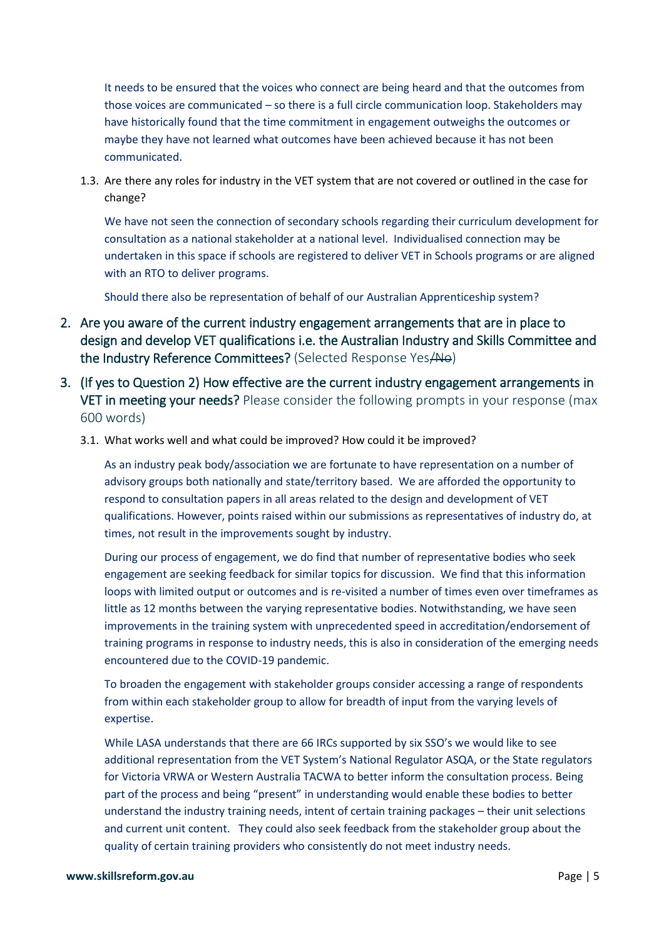It needs to be ensured that the voices who connect are being heard and that the outcomes from those voices are communicated – so there is a full circle communication loop. Stakeholders may have historically found that the time commitment in engagement outweighs the outcomes or maybe they have not learned what outcomes have been achieved because it has not been communicated.

1.3. Are there any roles for industry in the VET system that are not covered or outlined in the case for change?

We have not seen the connection of secondary schools regarding their curriculum development for consultation as a national stakeholder at a national level. Individualised connection may be undertaken in this space if schools are registered to deliver VET in Schools programs or are aligned with an RTO to deliver programs.

Should there also be representation of behalf of our Australian Apprenticeship system?

- 2. Are you aware of the current industry engagement arrangements that are in place to design and develop VET qualifications i.e. the Australian Industry and Skills Committee and the Industry Reference Committees? (Selected Response Yes/No)
- 3. (If yes to Question 2) How effective are the current industry engagement arrangements in VET in meeting your needs? Please consider the following prompts in your response (max 600 words)
	- 3.1. What works well and what could be improved? How could it be improved?

As an industry peak body/association we are fortunate to have representation on a number of advisory groups both nationally and state/territory based. We are afforded the opportunity to respond to consultation papers in all areas related to the design and development of VET qualifications. However, points raised within our submissions as representatives of industry do, at times, not result in the improvements sought by industry.

During our process of engagement, we do find that number of representative bodies who seek engagement are seeking feedback for similar topics for discussion. We find that this information loops with limited output or outcomes and is re-visited a number of times even over timeframes as little as 12 months between the varying representative bodies. Notwithstanding, we have seen improvements in the training system with unprecedented speed in accreditation/endorsement of training programs in response to industry needs, this is also in consideration of the emerging needs encountered due to the COVID-19 pandemic.

To broaden the engagement with stakeholder groups consider accessing a range of respondents from within each stakeholder group to allow for breadth of input from the varying levels of expertise.

While LASA understands that there are 66 IRCs supported by six SSO's we would like to see additional representation from the VET System's National Regulator ASQA, or the State regulators for Victoria VRWA or Western Australia TACWA to better inform the consultation process. Being part of the process and being "present" in understanding would enable these bodies to better understand the industry training needs, intent of certain training packages – their unit selections and current unit content. They could also seek feedback from the stakeholder group about the quality of certain training providers who consistently do not meet industry needs.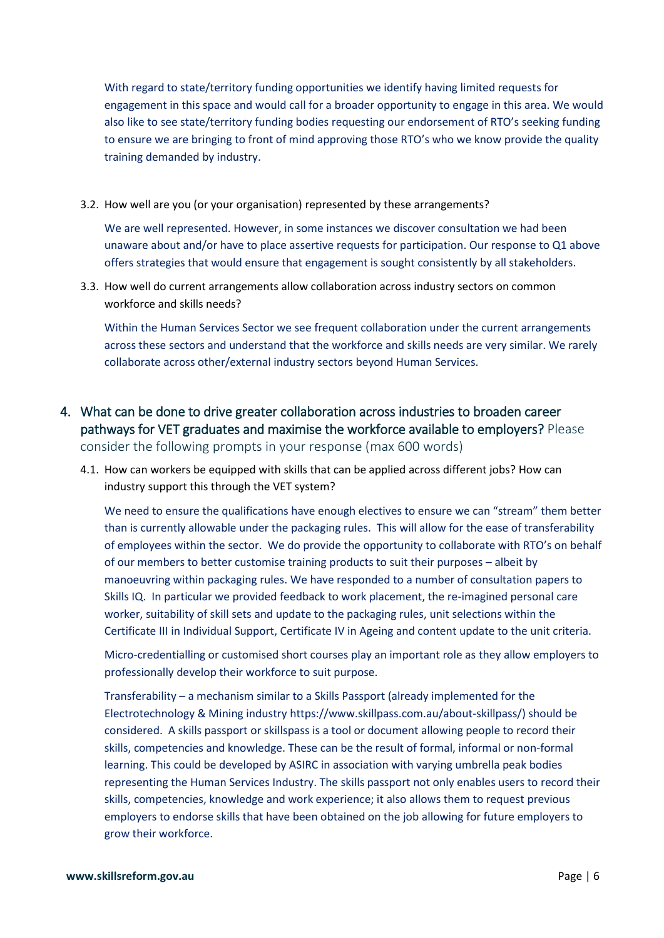With regard to state/territory funding opportunities we identify having limited requests for engagement in this space and would call for a broader opportunity to engage in this area. We would also like to see state/territory funding bodies requesting our endorsement of RTO's seeking funding to ensure we are bringing to front of mind approving those RTO's who we know provide the quality training demanded by industry.

3.2. How well are you (or your organisation) represented by these arrangements?

We are well represented. However, in some instances we discover consultation we had been unaware about and/or have to place assertive requests for participation. Our response to Q1 above offers strategies that would ensure that engagement is sought consistently by all stakeholders.

3.3. How well do current arrangements allow collaboration across industry sectors on common workforce and skills needs?

Within the Human Services Sector we see frequent collaboration under the current arrangements across these sectors and understand that the workforce and skills needs are very similar. We rarely collaborate across other/external industry sectors beyond Human Services.

- 4. What can be done to drive greater collaboration across industries to broaden career pathways for VET graduates and maximise the workforce available to employers? Please consider the following prompts in your response (max 600 words)
	- 4.1. How can workers be equipped with skills that can be applied across different jobs? How can industry support this through the VET system?

We need to ensure the qualifications have enough electives to ensure we can "stream" them better than is currently allowable under the packaging rules. This will allow for the ease of transferability of employees within the sector. We do provide the opportunity to collaborate with RTO's on behalf of our members to better customise training products to suit their purposes – albeit by manoeuvring within packaging rules. We have responded to a number of consultation papers to Skills IQ. In particular we provided feedback to work placement, the re-imagined personal care worker, suitability of skill sets and update to the packaging rules, unit selections within the Certificate III in Individual Support, Certificate IV in Ageing and content update to the unit criteria.

Micro-credentialling or customised short courses play an important role as they allow employers to professionally develop their workforce to suit purpose.

Transferability – a mechanism similar to a Skills Passport (already implemented for the Electrotechnology & Mining industry https://www.skillpass.com.au/about-skillpass/) should be considered. A skills passport or skillspass is a tool or document allowing people to record their skills, competencies and knowledge. These can be the result of formal, informal or non-formal learning. This could be developed by ASIRC in association with varying umbrella peak bodies representing the Human Services Industry. The skills passport not only enables users to record their skills, competencies, knowledge and work experience; it also allows them to request previous employers to endorse skills that have been obtained on the job allowing for future employers to grow their workforce.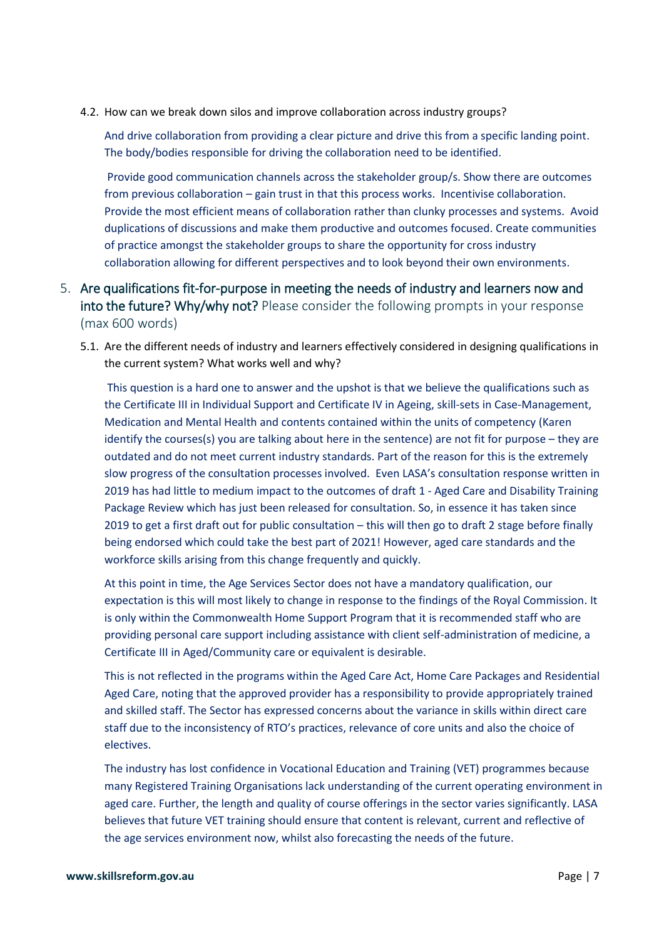4.2. How can we break down silos and improve collaboration across industry groups?

And drive collaboration from providing a clear picture and drive this from a specific landing point. The body/bodies responsible for driving the collaboration need to be identified.

Provide good communication channels across the stakeholder group/s. Show there are outcomes from previous collaboration – gain trust in that this process works. Incentivise collaboration. Provide the most efficient means of collaboration rather than clunky processes and systems. Avoid duplications of discussions and make them productive and outcomes focused. Create communities of practice amongst the stakeholder groups to share the opportunity for cross industry collaboration allowing for different perspectives and to look beyond their own environments.

- 5. Are qualifications fit-for-purpose in meeting the needs of industry and learners now and into the future? Why/why not? Please consider the following prompts in your response (max 600 words)
	- 5.1. Are the different needs of industry and learners effectively considered in designing qualifications in the current system? What works well and why?

This question is a hard one to answer and the upshot is that we believe the qualifications such as the Certificate III in Individual Support and Certificate IV in Ageing, skill-sets in Case-Management, Medication and Mental Health and contents contained within the units of competency (Karen identify the courses(s) you are talking about here in the sentence) are not fit for purpose – they are outdated and do not meet current industry standards. Part of the reason for this is the extremely slow progress of the consultation processes involved. Even LASA's consultation response written in 2019 has had little to medium impact to the outcomes of draft 1 - Aged Care and Disability Training Package Review which has just been released for consultation. So, in essence it has taken since 2019 to get a first draft out for public consultation – this will then go to draft 2 stage before finally being endorsed which could take the best part of 2021! However, aged care standards and the workforce skills arising from this change frequently and quickly.

At this point in time, the Age Services Sector does not have a mandatory qualification, our expectation is this will most likely to change in response to the findings of the Royal Commission. It is only within the Commonwealth Home Support Program that it is recommended staff who are providing personal care support including assistance with client self-administration of medicine, a Certificate III in Aged/Community care or equivalent is desirable.

This is not reflected in the programs within the Aged Care Act, Home Care Packages and Residential Aged Care, noting that the approved provider has a responsibility to provide appropriately trained and skilled staff. The Sector has expressed concerns about the variance in skills within direct care staff due to the inconsistency of RTO's practices, relevance of core units and also the choice of electives.

The industry has lost confidence in Vocational Education and Training (VET) programmes because many Registered Training Organisations lack understanding of the current operating environment in aged care. Further, the length and quality of course offerings in the sector varies significantly. LASA believes that future VET training should ensure that content is relevant, current and reflective of the age services environment now, whilst also forecasting the needs of the future.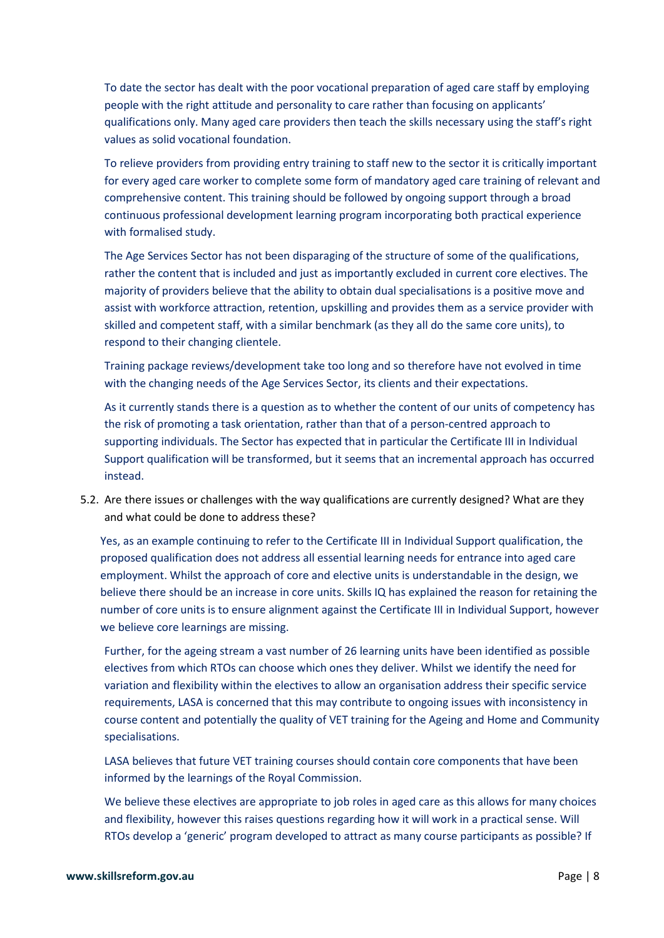To date the sector has dealt with the poor vocational preparation of aged care staff by employing people with the right attitude and personality to care rather than focusing on applicants' qualifications only. Many aged care providers then teach the skills necessary using the staff's right values as solid vocational foundation.

To relieve providers from providing entry training to staff new to the sector it is critically important for every aged care worker to complete some form of mandatory aged care training of relevant and comprehensive content. This training should be followed by ongoing support through a broad continuous professional development learning program incorporating both practical experience with formalised study.

The Age Services Sector has not been disparaging of the structure of some of the qualifications, rather the content that is included and just as importantly excluded in current core electives. The majority of providers believe that the ability to obtain dual specialisations is a positive move and assist with workforce attraction, retention, upskilling and provides them as a service provider with skilled and competent staff, with a similar benchmark (as they all do the same core units), to respond to their changing clientele.

Training package reviews/development take too long and so therefore have not evolved in time with the changing needs of the Age Services Sector, its clients and their expectations.

As it currently stands there is a question as to whether the content of our units of competency has the risk of promoting a task orientation, rather than that of a person-centred approach to supporting individuals. The Sector has expected that in particular the Certificate III in Individual Support qualification will be transformed, but it seems that an incremental approach has occurred instead.

5.2. Are there issues or challenges with the way qualifications are currently designed? What are they and what could be done to address these?

Yes, as an example continuing to refer to the Certificate III in Individual Support qualification, the proposed qualification does not address all essential learning needs for entrance into aged care employment. Whilst the approach of core and elective units is understandable in the design, we believe there should be an increase in core units. Skills IQ has explained the reason for retaining the number of core units is to ensure alignment against the Certificate III in Individual Support, however we believe core learnings are missing.

Further, for the ageing stream a vast number of 26 learning units have been identified as possible electives from which RTOs can choose which ones they deliver. Whilst we identify the need for variation and flexibility within the electives to allow an organisation address their specific service requirements, LASA is concerned that this may contribute to ongoing issues with inconsistency in course content and potentially the quality of VET training for the Ageing and Home and Community specialisations.

LASA believes that future VET training courses should contain core components that have been informed by the learnings of the Royal Commission.

We believe these electives are appropriate to job roles in aged care as this allows for many choices and flexibility, however this raises questions regarding how it will work in a practical sense. Will RTOs develop a 'generic' program developed to attract as many course participants as possible? If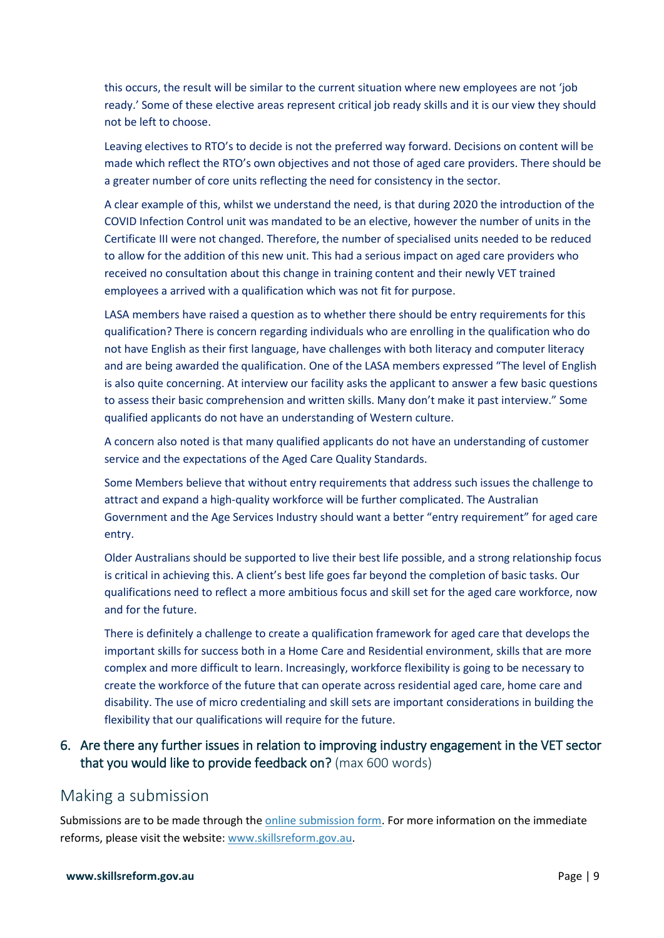this occurs, the result will be similar to the current situation where new employees are not 'job ready.' Some of these elective areas represent critical job ready skills and it is our view they should not be left to choose.

Leaving electives to RTO's to decide is not the preferred way forward. Decisions on content will be made which reflect the RTO's own objectives and not those of aged care providers. There should be a greater number of core units reflecting the need for consistency in the sector.

A clear example of this, whilst we understand the need, is that during 2020 the introduction of the COVID Infection Control unit was mandated to be an elective, however the number of units in the Certificate III were not changed. Therefore, the number of specialised units needed to be reduced to allow for the addition of this new unit. This had a serious impact on aged care providers who received no consultation about this change in training content and their newly VET trained employees a arrived with a qualification which was not fit for purpose.

LASA members have raised a question as to whether there should be entry requirements for this qualification? There is concern regarding individuals who are enrolling in the qualification who do not have English as their first language, have challenges with both literacy and computer literacy and are being awarded the qualification. One of the LASA members expressed "The level of English is also quite concerning. At interview our facility asks the applicant to answer a few basic questions to assess their basic comprehension and written skills. Many don't make it past interview." Some qualified applicants do not have an understanding of Western culture.

A concern also noted is that many qualified applicants do not have an understanding of customer service and the expectations of the Aged Care Quality Standards.

Some Members believe that without entry requirements that address such issues the challenge to attract and expand a high-quality workforce will be further complicated. The Australian Government and the Age Services Industry should want a better "entry requirement" for aged care entry.

Older Australians should be supported to live their best life possible, and a strong relationship focus is critical in achieving this. A client's best life goes far beyond the completion of basic tasks. Our qualifications need to reflect a more ambitious focus and skill set for the aged care workforce, now and for the future.

There is definitely a challenge to create a qualification framework for aged care that develops the important skills for success both in a Home Care and Residential environment, skills that are more complex and more difficult to learn. Increasingly, workforce flexibility is going to be necessary to create the workforce of the future that can operate across residential aged care, home care and disability. The use of micro credentialing and skill sets are important considerations in building the flexibility that our qualifications will require for the future.

#### 6. Are there any further issues in relation to improving industry engagement in the VET sector that you would like to provide feedback on? (max 600 words)

#### Making a submission

Submissions are to be made through the [online submission form.](https://employment.au1.qualtrics.com/jfe/form/SV_8e0QN4PAwdaKssJ) For more information on the immediate reforms, please visit the website: [www.skillsreform.gov.au.](http://www.skillsreform.gov.au/)